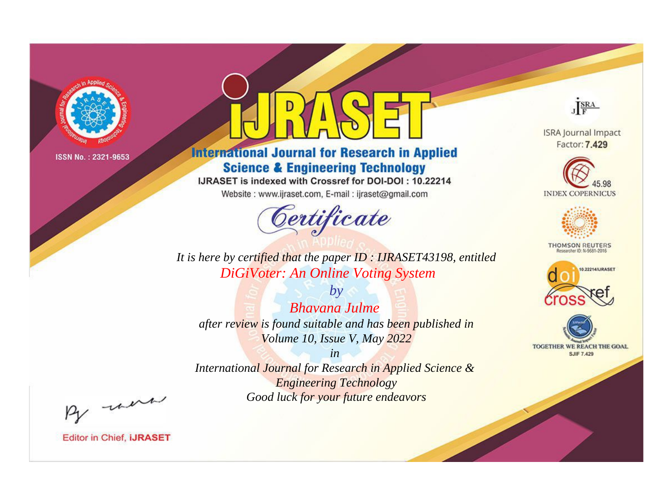

# **International Journal for Research in Applied Science & Engineering Technology**

IJRASET is indexed with Crossref for DOI-DOI: 10.22214

Website: www.ijraset.com, E-mail: ijraset@gmail.com



JERA

**ISRA Journal Impact** Factor: 7.429





**THOMSON REUTERS** 



TOGETHER WE REACH THE GOAL **SJIF 7.429** 

*It is here by certified that the paper ID : IJRASET43198, entitled DiGiVoter: An Online Voting System*

*by Bhavana Julme after review is found suitable and has been published in Volume 10, Issue V, May 2022*

*in* 

*International Journal for Research in Applied Science & Engineering Technology Good luck for your future endeavors*

By morn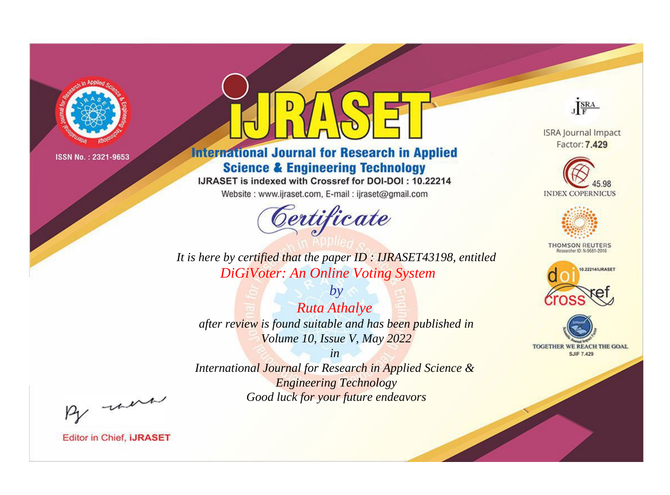

# **International Journal for Research in Applied Science & Engineering Technology**

IJRASET is indexed with Crossref for DOI-DOI: 10.22214

Website: www.ijraset.com, E-mail: ijraset@gmail.com



**ISRA Journal Impact** Factor: 7.429

JERA





**THOMSON REUTERS** 



TOGETHER WE REACH THE GOAL **SJIF 7.429** 

*It is here by certified that the paper ID : IJRASET43198, entitled DiGiVoter: An Online Voting System*

*by Ruta Athalye after review is found suitable and has been published in Volume 10, Issue V, May 2022*

*in* 

*International Journal for Research in Applied Science & Engineering Technology Good luck for your future endeavors*

By morn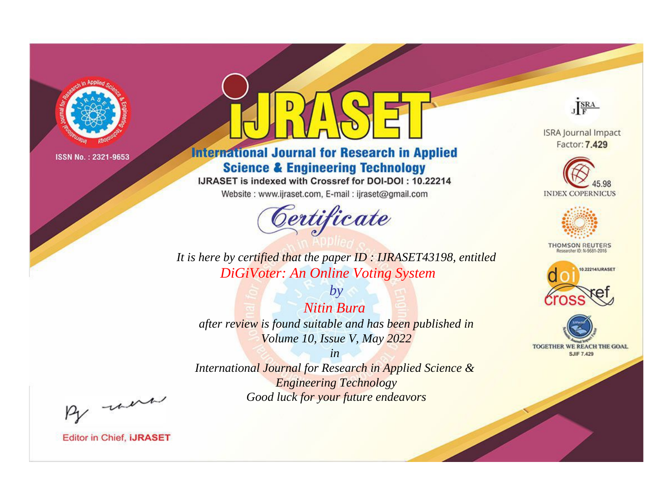

# **International Journal for Research in Applied Science & Engineering Technology**

IJRASET is indexed with Crossref for DOI-DOI: 10.22214

Website: www.ijraset.com, E-mail: ijraset@gmail.com



JERA **ISRA Journal Impact** 

Factor: 7.429





**THOMSON REUTERS** 



TOGETHER WE REACH THE GOAL **SJIF 7.429** 

*It is here by certified that the paper ID : IJRASET43198, entitled DiGiVoter: An Online Voting System*

*by Nitin Bura after review is found suitable and has been published in Volume 10, Issue V, May 2022*

*in* 

*International Journal for Research in Applied Science & Engineering Technology Good luck for your future endeavors*

By morn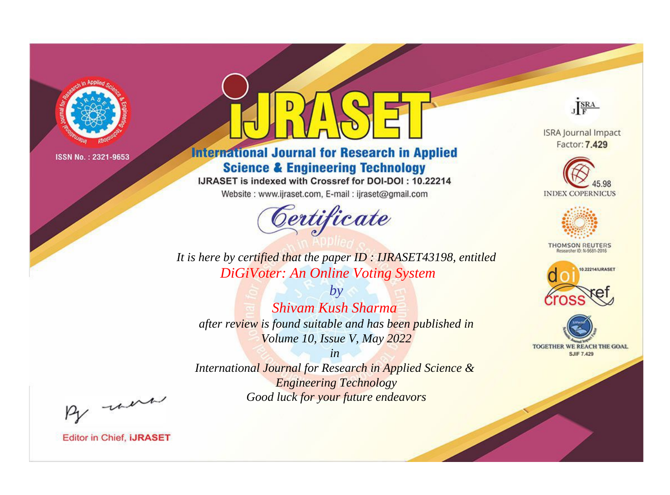

# **International Journal for Research in Applied Science & Engineering Technology**

IJRASET is indexed with Crossref for DOI-DOI: 10.22214

Website: www.ijraset.com, E-mail: ijraset@gmail.com



JERA

**ISRA Journal Impact** Factor: 7.429





**THOMSON REUTERS** 



TOGETHER WE REACH THE GOAL **SJIF 7.429** 

It is here by certified that the paper ID: IJRASET43198, entitled DiGiVoter: An Online Voting System

 $b\nu$ Shivam Kush Sharma after review is found suitable and has been published in Volume 10, Issue V, May 2022

 $in$ International Journal for Research in Applied Science & **Engineering Technology** Good luck for your future endeavors

By morn